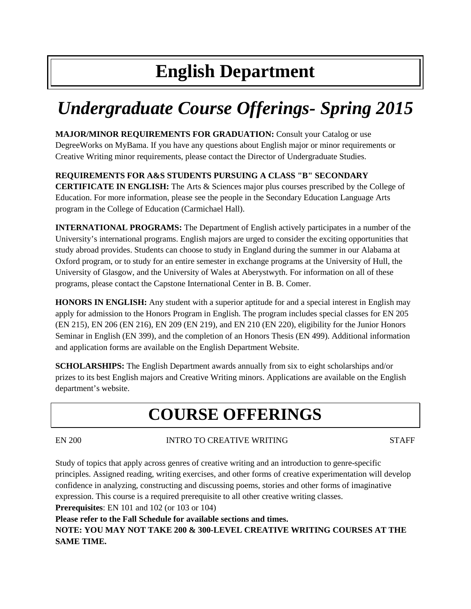# **English Department**

# *Undergraduate Course Offerings- Spring 2015*

**MAJOR/MINOR REQUIREMENTS FOR GRADUATION:** Consult your Catalog or use DegreeWorks on MyBama. If you have any questions about English major or minor requirements or Creative Writing minor requirements, please contact the Director of Undergraduate Studies.

# **REQUIREMENTS FOR A&S STUDENTS PURSUING A CLASS "B" SECONDARY**

**CERTIFICATE IN ENGLISH:** The Arts & Sciences major plus courses prescribed by the College of Education. For more information, please see the people in the Secondary Education Language Arts program in the College of Education (Carmichael Hall).

**INTERNATIONAL PROGRAMS:** The Department of English actively participates in a number of the University's international programs. English majors are urged to consider the exciting opportunities that study abroad provides. Students can choose to study in England during the summer in our Alabama at Oxford program, or to study for an entire semester in exchange programs at the University of Hull, the University of Glasgow, and the University of Wales at Aberystwyth. For information on all of these programs, please contact the Capstone International Center in B. B. Comer.

**HONORS IN ENGLISH:** Any student with a superior aptitude for and a special interest in English may apply for admission to the Honors Program in English. The program includes special classes for EN 205 (EN 215), EN 206 (EN 216), EN 209 (EN 219), and EN 210 (EN 220), eligibility for the Junior Honors Seminar in English (EN 399), and the completion of an Honors Thesis (EN 499). Additional information and application forms are available on the English Department Website.

**SCHOLARSHIPS:** The English Department awards annually from six to eight scholarships and/or prizes to its best English majors and Creative Writing minors. Applications are available on the English department's website.

# **COURSE OFFERINGS**

# EN 200 INTRO TO CREATIVE WRITING STAFF

Study of topics that apply across genres of creative writing and an introduction to genre-specific principles. Assigned reading, writing exercises, and other forms of creative experimentation will develop confidence in analyzing, constructing and discussing poems, stories and other forms of imaginative expression. This course is a required prerequisite to all other creative writing classes.

**Prerequisites**: EN 101 and 102 (or 103 or 104)

**Please refer to the Fall Schedule for available sections and times.**

**NOTE: YOU MAY NOT TAKE 200 & 300-LEVEL CREATIVE WRITING COURSES AT THE SAME TIME.**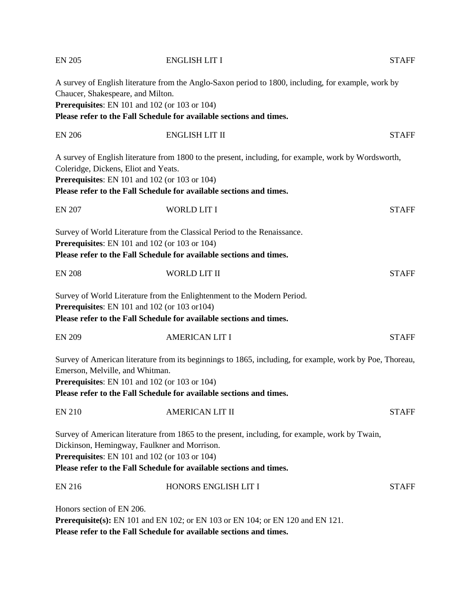| <b>EN 205</b>                        | <b>ENGLISH LIT I</b>                                                                                                                                                                                                                                                   | <b>STAFF</b> |
|--------------------------------------|------------------------------------------------------------------------------------------------------------------------------------------------------------------------------------------------------------------------------------------------------------------------|--------------|
| Chaucer, Shakespeare, and Milton.    | A survey of English literature from the Anglo-Saxon period to 1800, including, for example, work by<br>Prerequisites: EN 101 and 102 (or 103 or 104)<br>Please refer to the Fall Schedule for available sections and times.                                            |              |
| <b>EN 206</b>                        | <b>ENGLISH LIT II</b>                                                                                                                                                                                                                                                  | <b>STAFF</b> |
| Coleridge, Dickens, Eliot and Yeats. | A survey of English literature from 1800 to the present, including, for example, work by Wordsworth,<br><b>Prerequisites:</b> EN 101 and 102 (or 103 or 104)<br>Please refer to the Fall Schedule for available sections and times.                                    |              |
| <b>EN 207</b>                        | <b>WORLD LIT I</b>                                                                                                                                                                                                                                                     | <b>STAFF</b> |
|                                      | Survey of World Literature from the Classical Period to the Renaissance.<br>Prerequisites: EN 101 and 102 (or 103 or 104)<br>Please refer to the Fall Schedule for available sections and times.                                                                       |              |
| <b>EN 208</b>                        | WORLD LIT II                                                                                                                                                                                                                                                           | <b>STAFF</b> |
|                                      | Survey of World Literature from the Enlightenment to the Modern Period.<br>Prerequisites: EN 101 and 102 (or 103 or 104)<br>Please refer to the Fall Schedule for available sections and times.                                                                        |              |
| <b>EN 209</b>                        | <b>AMERICAN LIT I</b>                                                                                                                                                                                                                                                  | <b>STAFF</b> |
| Emerson, Melville, and Whitman.      | Survey of American literature from its beginnings to 1865, including, for example, work by Poe, Thoreau,<br><b>Prerequisites:</b> EN 101 and 102 (or 103 or 104)<br>Please refer to the Fall Schedule for available sections and times.                                |              |
| <b>EN 210</b>                        | <b>AMERICAN LIT II</b>                                                                                                                                                                                                                                                 | <b>STAFF</b> |
|                                      | Survey of American literature from 1865 to the present, including, for example, work by Twain,<br>Dickinson, Hemingway, Faulkner and Morrison.<br>Prerequisites: EN 101 and 102 (or 103 or 104)<br>Please refer to the Fall Schedule for available sections and times. |              |
| <b>EN 216</b>                        | HONORS ENGLISH LIT I                                                                                                                                                                                                                                                   | <b>STAFF</b> |
| Honors section of EN 206.            | <b>Prerequisite(s):</b> EN 101 and EN 102; or EN 103 or EN 104; or EN 120 and EN 121.<br>Please refer to the Fall Schedule for available sections and times.                                                                                                           |              |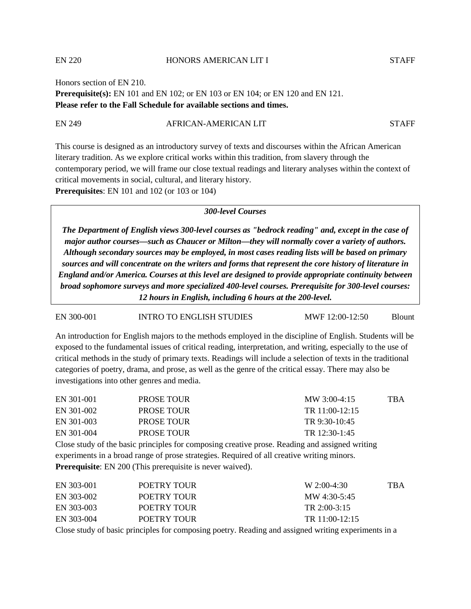Honors section of EN 210.

#### EN 220 HONORS AMERICAN LIT I STAFF

**Prerequisite(s):** EN 101 and EN 102; or EN 103 or EN 104; or EN 120 and EN 121. **Please refer to the Fall Schedule for available sections and times.**

#### EN 249 AFRICAN-AMERICAN LIT STAFF

This course is designed as an introductory survey of texts and discourses within the African American literary tradition. As we explore critical works within this tradition, from slavery through the contemporary period, we will frame our close textual readings and literary analyses within the context of critical movements in social, cultural, and literary history. **Prerequisites**: EN 101 and 102 (or 103 or 104)

#### *300-level Courses*

*The Department of English views 300-level courses as "bedrock reading" and, except in the case of major author courses—such as Chaucer or Milton—they will normally cover a variety of authors. Although secondary sources may be employed, in most cases reading lists will be based on primary sources and will concentrate on the writers and forms that represent the core history of literature in England and/or America. Courses at this level are designed to provide appropriate continuity between broad sophomore surveys and more specialized 400-level courses. Prerequisite for 300-level courses: 12 hours in English, including 6 hours at the 200-level.*

#### EN 300-001 INTRO TO ENGLISH STUDIES MWF 12:00-12:50 Blount

An introduction for English majors to the methods employed in the discipline of English. Students will be exposed to the fundamental issues of critical reading, interpretation, and writing, especially to the use of critical methods in the study of primary texts. Readings will include a selection of texts in the traditional categories of poetry, drama, and prose, as well as the genre of the critical essay. There may also be investigations into other genres and media.

| EN 301-001 | <b>PROSE TOUR</b>                                                                         | MW 3:00-4:15                                                                                   | <b>TBA</b> |
|------------|-------------------------------------------------------------------------------------------|------------------------------------------------------------------------------------------------|------------|
| EN 301-002 | <b>PROSE TOUR</b>                                                                         | TR 11:00-12:15                                                                                 |            |
| EN 301-003 | <b>PROSE TOUR</b>                                                                         | TR 9:30-10:45                                                                                  |            |
| EN 301-004 | <b>PROSE TOUR</b>                                                                         | TR 12:30-1:45                                                                                  |            |
|            |                                                                                           | Close study of the basic principles for composing creative prose. Reading and assigned writing |            |
|            | experiments in a broad range of prose strategies. Dequired of all creative writing minors |                                                                                                |            |

experiments in a broad range of prose strategies. Required of all creative writing minors. **Prerequisite**: EN 200 (This prerequisite is never waived).

| EN 303-001 | POETRY TOUR | $W 2:00-4:30$    | TBA |
|------------|-------------|------------------|-----|
| EN 303-002 | POETRY TOUR | MW 4:30-5:45     |     |
| EN 303-003 | POETRY TOUR | TR $2:00-3:15$   |     |
| EN 303-004 | POETRY TOUR | TR $11:00-12:15$ |     |
|            |             |                  |     |

Close study of basic principles for composing poetry. Reading and assigned writing experiments in a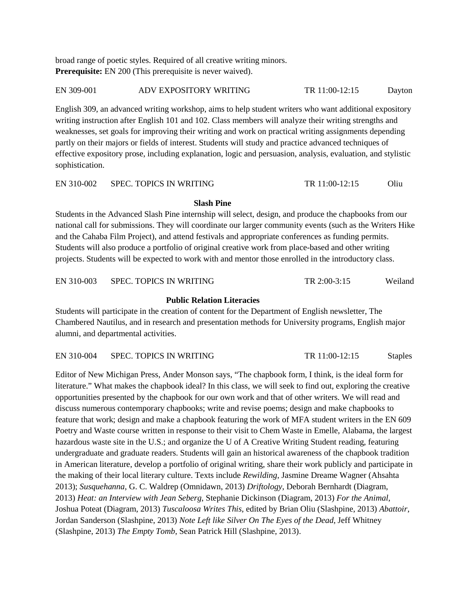broad range of poetic styles. Required of all creative writing minors. **Prerequisite:** EN 200 (This prerequisite is never waived).

EN 309-001 ADV EXPOSITORY WRITING TR 11:00-12:15 Dayton

English 309, an advanced writing workshop, aims to help student writers who want additional expository writing instruction after English 101 and 102. Class members will analyze their writing strengths and weaknesses, set goals for improving their writing and work on practical writing assignments depending partly on their majors or fields of interest. Students will study and practice advanced techniques of effective expository prose, including explanation, logic and persuasion, analysis, evaluation, and stylistic sophistication.

EN 310-002 SPEC. TOPICS IN WRITING TR 11:00-12:15 Oliu

# **Slash Pine**

Students in the Advanced Slash Pine internship will select, design, and produce the chapbooks from our national call for submissions. They will coordinate our larger community events (such as the Writers Hike and the Cahaba Film Project), and attend festivals and appropriate conferences as funding permits. Students will also produce a portfolio of original creative work from place-based and other writing projects. Students will be expected to work with and mentor those enrolled in the introductory class.

EN 310-003 SPEC. TOPICS IN WRITING TR 2:00-3:15 Weiland

#### **Public Relation Literacies**

Students will participate in the creation of content for the Department of English newsletter, The Chambered Nautilus, and in research and presentation methods for University programs, English major alumni, and departmental activities.

EN 310-004 SPEC. TOPICS IN WRITING TR 11:00-12:15 Staples

Editor of New Michigan Press, Ander Monson says, "The chapbook form, I think, is the ideal form for literature." What makes the chapbook ideal? In this class, we will seek to find out, exploring the creative opportunities presented by the chapbook for our own work and that of other writers. We will read and discuss numerous contemporary chapbooks; write and revise poems; design and make chapbooks to feature that work; design and make a chapbook featuring the work of MFA student writers in the EN 609 Poetry and Waste course written in response to their visit to Chem Waste in Emelle, Alabama, the largest hazardous waste site in the U.S.; and organize the U of A Creative Writing Student reading, featuring undergraduate and graduate readers. Students will gain an historical awareness of the chapbook tradition in American literature, develop a portfolio of original writing, share their work publicly and participate in the making of their local literary culture. Texts include *Rewilding*, Jasmine Dreame Wagner (Ahsahta 2013); *Susquehanna*, G. C. Waldrep (Omnidawn, 2013) *Driftology*, Deborah Bernhardt (Diagram, 2013) *Heat: an Interview with Jean Seberg*, Stephanie Dickinson (Diagram, 2013) *For the Animal*, Joshua Poteat (Diagram, 2013) *Tuscaloosa Writes This*, edited by Brian Oliu (Slashpine, 2013) *Abattoir*, Jordan Sanderson (Slashpine, 2013) *Note Left like Silver On The Eyes of the Dead*, Jeff Whitney (Slashpine, 2013) *The Empty Tomb*, Sean Patrick Hill (Slashpine, 2013).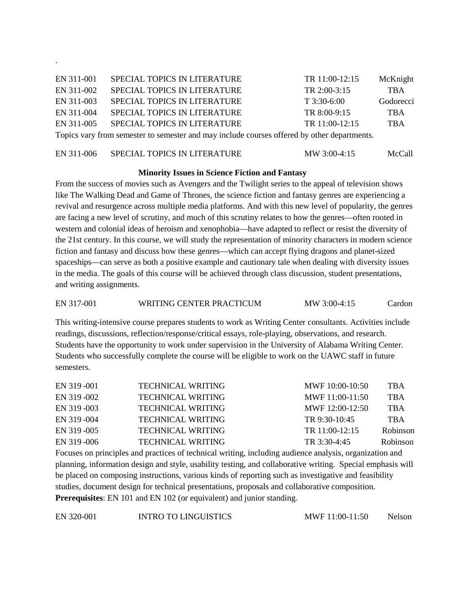| EN 311-001                                                                                  | SPECIAL TOPICS IN LITERATURE        | TR 11:00-12:15 | McKnight   |
|---------------------------------------------------------------------------------------------|-------------------------------------|----------------|------------|
| EN 311-002                                                                                  | SPECIAL TOPICS IN LITERATURE        | TR 2:00-3:15   | <b>TBA</b> |
| EN 311-003                                                                                  | SPECIAL TOPICS IN LITERATURE        | $T$ 3:30-6:00  | Godorecci  |
| EN 311-004                                                                                  | <b>SPECIAL TOPICS IN LITERATURE</b> | TR 8:00-9:15   | <b>TBA</b> |
| EN 311-005                                                                                  | SPECIAL TOPICS IN LITERATURE        | TR 11:00-12:15 | <b>TBA</b> |
| Topics vary from semester to semester and may include courses offered by other departments. |                                     |                |            |

.

| EN 311-006 | SPECIAL TOPICS IN LITERATURE | MW 3:00-4:15 | McCall |
|------------|------------------------------|--------------|--------|
|            |                              |              |        |

#### **Minority Issues in Science Fiction and Fantasy**

From the success of movies such as Avengers and the Twilight series to the appeal of television shows like The Walking Dead and Game of Thrones, the science fiction and fantasy genres are experiencing a revival and resurgence across multiple media platforms. And with this new level of popularity, the genres are facing a new level of scrutiny, and much of this scrutiny relates to how the genres—often rooted in western and colonial ideas of heroism and xenophobia—have adapted to reflect or resist the diversity of the 21st century. In this course, we will study the representation of minority characters in modern science fiction and fantasy and discuss how these genres—which can accept flying dragons and planet-sized spaceships—can serve as both a positive example and cautionary tale when dealing with diversity issues in the media. The goals of this course will be achieved through class discussion, student presentations, and writing assignments.

| WRITING CENTER PRACTICUM<br>EN 317-001<br>MW 3:00-4:15<br>Cardon |
|------------------------------------------------------------------|
|------------------------------------------------------------------|

This writing-intensive course prepares students to work as Writing Center consultants. Activities include readings, discussions, reflection/response/critical essays, role-playing, observations, and research. Students have the opportunity to work under supervision in the University of Alabama Writing Center. Students who successfully complete the course will be eligible to work on the UAWC staff in future semesters.

| EN 319-001 | <b>TECHNICAL WRITING</b> | $MWF 10:00-10:50$ | <b>TBA</b>      |
|------------|--------------------------|-------------------|-----------------|
| EN 319-002 | <b>TECHNICAL WRITING</b> | MWF $11:00-11:50$ | <b>TBA</b>      |
| EN 319-003 | <b>TECHNICAL WRITING</b> | MWF $12:00-12:50$ | <b>TBA</b>      |
| EN 319-004 | <b>TECHNICAL WRITING</b> | TR 9:30-10:45     | <b>TBA</b>      |
| EN 319-005 | <b>TECHNICAL WRITING</b> | TR $11:00-12:15$  | <b>Robinson</b> |
| EN 319-006 | <b>TECHNICAL WRITING</b> | TR $3:30-4:45$    | <b>Robinson</b> |

Focuses on principles and practices of technical writing, including audience analysis, organization and planning, information design and style, usability testing, and collaborative writing. Special emphasis will be placed on composing instructions, various kinds of reporting such as investigative and feasibility studies, document design for technical presentations, proposals and collaborative composition. **Prerequisites**: EN 101 and EN 102 (or equivalent) and junior standing.

EN 320-001 INTRO TO LINGUISTICS MWF 11:00-11:50 Nelson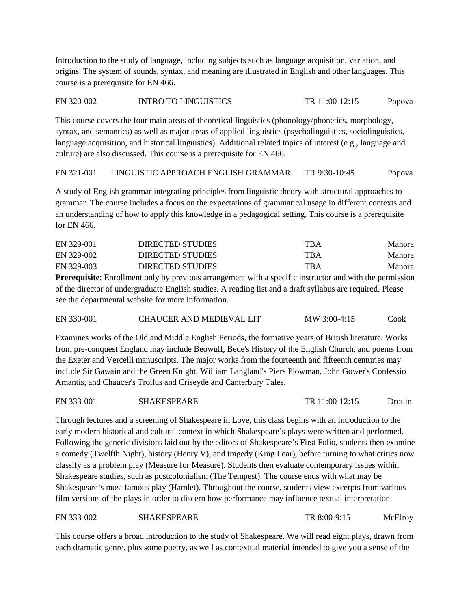Introduction to the study of language, including subjects such as language acquisition, variation, and origins. The system of sounds, syntax, and meaning are illustrated in English and other languages. This course is a prerequisite for EN 466.

#### EN 320-002 INTRO TO LINGUISTICS TR 11:00-12:15 Popova

This course covers the four main areas of theoretical linguistics (phonology/phonetics, morphology, syntax, and semantics) as well as major areas of applied linguistics (psycholinguistics, sociolinguistics, language acquisition, and historical linguistics). Additional related topics of interest (e.g., language and culture) are also discussed. This course is a prerequisite for EN 466.

EN 321-001 LINGUISTIC APPROACH ENGLISH GRAMMAR TR 9:30-10:45 Popova

A study of English grammar integrating principles from linguistic theory with structural approaches to grammar. The course includes a focus on the expectations of grammatical usage in different contexts and an understanding of how to apply this knowledge in a pedagogical setting. This course is a prerequisite for EN 466.

| EN 329-001 | DIRECTED STUDIES        | TBA        | Manora        |
|------------|-------------------------|------------|---------------|
| EN 329-002 | DIRECTED STUDIES        | <b>TBA</b> | <b>Manora</b> |
| EN 329-003 | <b>DIRECTED STUDIES</b> | TBA        | Manora        |

**Prerequisite**: Enrollment only by previous arrangement with a specific instructor and with the permission of the director of undergraduate English studies. A reading list and a draft syllabus are required. Please see the departmental website for more information.

| EN 330-001<br>CHAUCER AND MEDIEVAL LIT | MW 3:00-4:15 | Cook |
|----------------------------------------|--------------|------|
|----------------------------------------|--------------|------|

Examines works of the Old and Middle English Periods, the formative years of British literature. Works from pre-conquest England may include Beowulf, Bede's History of the English Church, and poems from the Exeter and Vercelli manuscripts. The major works from the fourteenth and fifteenth centuries may include Sir Gawain and the Green Knight, William Langland's Piers Plowman, John Gower's Confessio Amantis, and Chaucer's Troilus and Criseyde and Canterbury Tales.

| EN 333-001<br><b>SHAKESPEARE</b> | TR 11:00-12:15 | $D$ rouin |
|----------------------------------|----------------|-----------|
|----------------------------------|----------------|-----------|

Through lectures and a screening of Shakespeare in Love, this class begins with an introduction to the early modern historical and cultural context in which Shakespeare's plays were written and performed. Following the generic divisions laid out by the editors of Shakespeare's First Folio, students then examine a comedy (Twelfth Night), history (Henry V), and tragedy (King Lear), before turning to what critics now classify as a problem play (Measure for Measure). Students then evaluate contemporary issues within Shakespeare studies, such as postcolonialism (The Tempest). The course ends with what may be Shakespeare's most famous play (Hamlet). Throughout the course, students view excerpts from various film versions of the plays in order to discern how performance may influence textual interpretation.

EN 333-002 SHAKESPEARE TR 8:00-9:15 McElroy

This course offers a broad introduction to the study of Shakespeare. We will read eight plays, drawn from each dramatic genre, plus some poetry, as well as contextual material intended to give you a sense of the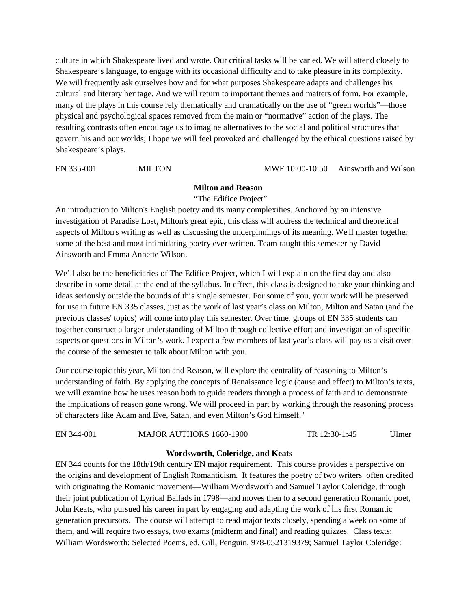culture in which Shakespeare lived and wrote. Our critical tasks will be varied. We will attend closely to Shakespeare's language, to engage with its occasional difficulty and to take pleasure in its complexity. We will frequently ask ourselves how and for what purposes Shakespeare adapts and challenges his cultural and literary heritage. And we will return to important themes and matters of form. For example, many of the plays in this course rely thematically and dramatically on the use of "green worlds"—those physical and psychological spaces removed from the main or "normative" action of the plays. The resulting contrasts often encourage us to imagine alternatives to the social and political structures that govern his and our worlds; I hope we will feel provoked and challenged by the ethical questions raised by Shakespeare's plays.

EN 335-001 MILTON MWF 10:00-10:50 Ainsworth and Wilson

#### **Milton and Reason**

"The Edifice Project"

An introduction to Milton's English poetry and its many complexities. Anchored by an intensive investigation of Paradise Lost, Milton's great epic, this class will address the technical and theoretical aspects of Milton's writing as well as discussing the underpinnings of its meaning. We'll master together some of the best and most intimidating poetry ever written. Team-taught this semester by David Ainsworth and Emma Annette Wilson.

We'll also be the beneficiaries of The Edifice Project, which I will explain on the first day and also describe in some detail at the end of the syllabus. In effect, this class is designed to take your thinking and ideas seriously outside the bounds of this single semester. For some of you, your work will be preserved for use in future EN 335 classes, just as the work of last year's class on Milton, Milton and Satan (and the previous classes' topics) will come into play this semester. Over time, groups of EN 335 students can together construct a larger understanding of Milton through collective effort and investigation of specific aspects or questions in Milton's work. I expect a few members of last year's class will pay us a visit over the course of the semester to talk about Milton with you.

Our course topic this year, Milton and Reason, will explore the centrality of reasoning to Milton's understanding of faith. By applying the concepts of Renaissance logic (cause and effect) to Milton's texts, we will examine how he uses reason both to guide readers through a process of faith and to demonstrate the implications of reason gone wrong. We will proceed in part by working through the reasoning process of characters like Adam and Eve, Satan, and even Milton's God himself."

#### EN 344-001 MAJOR AUTHORS 1660-1900 TR 12:30-1:45 Ulmer

#### **Wordsworth, Coleridge, and Keats**

EN 344 counts for the 18th/19th century EN major requirement. This course provides a perspective on the origins and development of English Romanticism. It features the poetry of two writers often credited with originating the Romanic movement—William Wordsworth and Samuel Taylor Coleridge, through their joint publication of Lyrical Ballads in 1798—and moves then to a second generation Romanic poet, John Keats, who pursued his career in part by engaging and adapting the work of his first Romantic generation precursors. The course will attempt to read major texts closely, spending a week on some of them, and will require two essays, two exams (midterm and final) and reading quizzes. Class texts: William Wordsworth: Selected Poems, ed. Gill, Penguin, 978-0521319379; Samuel Taylor Coleridge: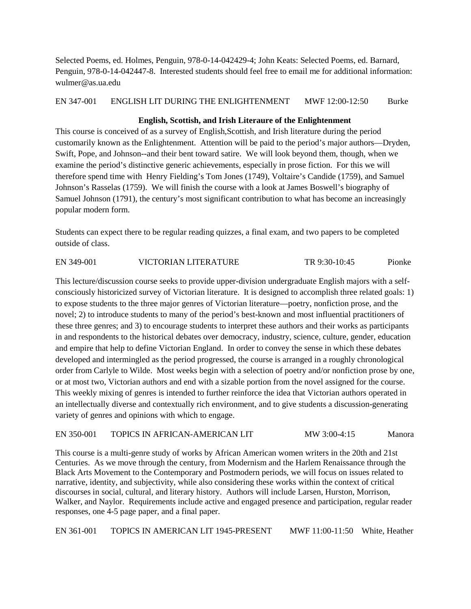Selected Poems, ed. Holmes, Penguin, 978-0-14-042429-4; John Keats: Selected Poems, ed. Barnard, Penguin, 978-0-14-042447-8. Interested students should feel free to email me for additional information: wulmer@as.ua.edu

# EN 347-001 ENGLISH LIT DURING THE ENLIGHTENMENT MWF 12:00-12:50 Burke

### **English, Scottish, and Irish Literaure of the Enlightenment**

This course is conceived of as a survey of English,Scottish, and Irish literature during the period customarily known as the Enlightenment. Attention will be paid to the period's major authors—Dryden, Swift, Pope, and Johnson--and their bent toward satire. We will look beyond them, though, when we examine the period's distinctive generic achievements, especially in prose fiction. For this we will therefore spend time with Henry Fielding's Tom Jones (1749), Voltaire's Candide (1759), and Samuel Johnson's Rasselas (1759). We will finish the course with a look at James Boswell's biography of Samuel Johnson (1791), the century's most significant contribution to what has become an increasingly popular modern form.

Students can expect there to be regular reading quizzes, a final exam, and two papers to be completed outside of class.

EN 349-001 VICTORIAN LITERATURE TR 9:30-10:45 Pionke

This lecture/discussion course seeks to provide upper-division undergraduate English majors with a selfconsciously historicized survey of Victorian literature. It is designed to accomplish three related goals: 1) to expose students to the three major genres of Victorian literature—poetry, nonfiction prose, and the novel; 2) to introduce students to many of the period's best-known and most influential practitioners of these three genres; and 3) to encourage students to interpret these authors and their works as participants in and respondents to the historical debates over democracy, industry, science, culture, gender, education and empire that help to define Victorian England. In order to convey the sense in which these debates developed and intermingled as the period progressed, the course is arranged in a roughly chronological order from Carlyle to Wilde. Most weeks begin with a selection of poetry and/or nonfiction prose by one, or at most two, Victorian authors and end with a sizable portion from the novel assigned for the course. This weekly mixing of genres is intended to further reinforce the idea that Victorian authors operated in an intellectually diverse and contextually rich environment, and to give students a discussion-generating variety of genres and opinions with which to engage.

#### EN 350-001 TOPICS IN AFRICAN-AMERICAN LIT MW 3:00-4:15 Manora

This course is a multi-genre study of works by African American women writers in the 20th and 21st Centuries. As we move through the century, from Modernism and the Harlem Renaissance through the Black Arts Movement to the Contemporary and Postmodern periods, we will focus on issues related to narrative, identity, and subjectivity, while also considering these works within the context of critical discourses in social, cultural, and literary history. Authors will include Larsen, Hurston, Morrison, Walker, and Naylor. Requirements include active and engaged presence and participation, regular reader responses, one 4-5 page paper, and a final paper.

EN 361-001 TOPICS IN AMERICAN LIT 1945-PRESENT MWF 11:00-11:50 White, Heather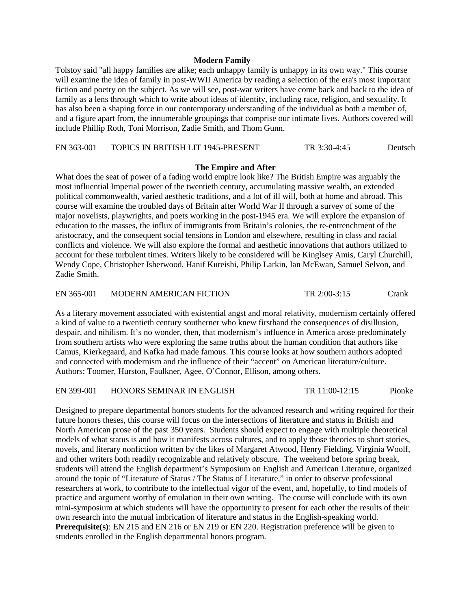#### **Modern Family**

Tolstoy said "all happy families are alike; each unhappy family is unhappy in its own way." This course will examine the idea of family in post-WWII America by reading a selection of the era's most important fiction and poetry on the subject. As we will see, post-war writers have come back and back to the idea of family as a lens through which to write about ideas of identity, including race, religion, and sexuality. It has also been a shaping force in our contemporary understanding of the individual as both a member of, and a figure apart from, the innumerable groupings that comprise our intimate lives. Authors covered will include Phillip Roth, Toni Morrison, Zadie Smith, and Thom Gunn.

EN 363-001 TOPICS IN BRITISH LIT 1945-PRESENT TR 3:30-4:45 Deutsch

#### **The Empire and After**

What does the seat of power of a fading world empire look like? The British Empire was arguably the most influential Imperial power of the twentieth century, accumulating massive wealth, an extended political commonwealth, varied aesthetic traditions, and a lot of ill will, both at home and abroad. This course will examine the troubled days of Britain after World War II through a survey of some of the major novelists, playwrights, and poets working in the post-1945 era. We will explore the expansion of education to the masses, the influx of immigrants from Britain's colonies, the re-entrenchment of the aristocracy, and the consequent social tensions in London and elsewhere, resulting in class and racial conflicts and violence. We will also explore the formal and aesthetic innovations that authors utilized to account for these turbulent times. Writers likely to be considered will be Kinglsey Amis, Caryl Churchill, Wendy Cope, Christopher Isherwood, Hanif Kureishi, Philip Larkin, Ian McEwan, Samuel Selvon, and Zadie Smith.

EN 365-001 MODERN AMERICAN FICTION TR 2:00-3:15 Crank

As a literary movement associated with existential angst and moral relativity, modernism certainly offered a kind of value to a twentieth century southerner who knew firsthand the consequences of disillusion, despair, and nihilism. It's no wonder, then, that modernism's influence in America arose predominately from southern artists who were exploring the same truths about the human condition that authors like Camus, Kierkegaard, and Kafka had made famous. This course looks at how southern authors adopted and connected with modernism and the influence of their "accent" on American literature/culture. Authors: Toomer, Hurston, Faulkner, Agee, O'Connor, Ellison, among others.

EN 399-001 HONORS SEMINAR IN ENGLISH TR 11:00-12:15 Pionke

Designed to prepare departmental honors students for the advanced research and writing required for their future honors theses, this course will focus on the intersections of literature and status in British and North American prose of the past 350 years. Students should expect to engage with multiple theoretical models of what status is and how it manifests across cultures, and to apply those theories to short stories, novels, and literary nonfiction written by the likes of Margaret Atwood, Henry Fielding, Virginia Woolf, and other writers both readily recognizable and relatively obscure. The weekend before spring break, students will attend the English department's Symposium on English and American Literature, organized around the topic of "Literature of Status / The Status of Literature," in order to observe professional researchers at work, to contribute to the intellectual vigor of the event, and, hopefully, to find models of practice and argument worthy of emulation in their own writing. The course will conclude with its own mini-symposium at which students will have the opportunity to present for each other the results of their own research into the mutual imbrication of literature and status in the English-speaking world. **Prerequisite(s)**: EN 215 and EN 216 or EN 219 or EN 220. Registration preference will be given to students enrolled in the English departmental honors program.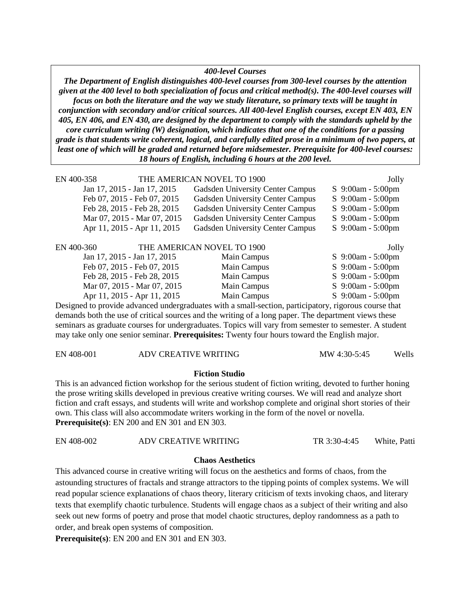#### *400-level Courses*

*The Department of English distinguishes 400-level courses from 300-level courses by the attention given at the 400 level to both specialization of focus and critical method(s). The 400-level courses will focus on both the literature and the way we study literature, so primary texts will be taught in conjunction with secondary and/or critical sources. All 400-level English courses, except EN 403, EN 405, EN 406, and EN 430, are designed by the department to comply with the standards upheld by the core curriculum writing (W) designation, which indicates that one of the conditions for a passing grade is that students write coherent, logical, and carefully edited prose in a minimum of two papers, at least one of which will be graded and returned before midsemester. Prerequisite for 400-level courses: 18 hours of English, including 6 hours at the 200 level.*

| EN 400-358 |                             | THE AMERICAN NOVEL TO 1900              | Jolly                 |
|------------|-----------------------------|-----------------------------------------|-----------------------|
|            | Jan 17, 2015 - Jan 17, 2015 | Gadsden University Center Campus        | S 9:00am - 5:00pm     |
|            | Feb 07, 2015 - Feb 07, 2015 | Gadsden University Center Campus        | S 9:00am - 5:00pm     |
|            | Feb 28, 2015 - Feb 28, 2015 | <b>Gadsden University Center Campus</b> | S $9:00am - 5:00pm$   |
|            | Mar 07, 2015 - Mar 07, 2015 | <b>Gadsden University Center Campus</b> | S 9:00am - 5:00pm     |
|            | Apr 11, 2015 - Apr 11, 2015 | Gadsden University Center Campus        | S 9:00am - 5:00pm     |
|            |                             |                                         |                       |
| EN 400-360 |                             | THE AMERICAN NOVEL TO 1900              | Jolly                 |
|            | Jan 17, 2015 - Jan 17, 2015 | Main Campus                             | S 9:00am - 5:00pm     |
|            | Feb 07, 2015 - Feb 07, 2015 | Main Campus                             | $S_{9:}00am - 5:00pm$ |
|            | Feb 28, 2015 - Feb 28, 2015 | Main Campus                             | S $9:00am - 5:00pm$   |
|            | Mar 07, 2015 - Mar 07, 2015 | Main Campus                             | $S_{9:}00am - 5:00pm$ |
|            | Apr 11, 2015 - Apr 11, 2015 | Main Campus                             | S 9:00am - 5:00pm     |

Designed to provide advanced undergraduates with a small-section, participatory, rigorous course that demands both the use of critical sources and the writing of a long paper. The department views these seminars as graduate courses for undergraduates. Topics will vary from semester to semester. A student may take only one senior seminar. **Prerequisites:** Twenty four hours toward the English major.

| EN 408-001<br>ADV CREATIVE WRITING | MW 4:30-5:45 | Wells |
|------------------------------------|--------------|-------|
|------------------------------------|--------------|-------|

#### **Fiction Studio**

This is an advanced fiction workshop for the serious student of fiction writing, devoted to further honing the prose writing skills developed in previous creative writing courses. We will read and analyze short fiction and craft essays, and students will write and workshop complete and original short stories of their own. This class will also accommodate writers working in the form of the novel or novella. **Prerequisite(s)**: EN 200 and EN 301 and EN 303.

| EN 408-002 | ADV CREATIVE WRITING | TR 3:30-4:45 | White, Patti |
|------------|----------------------|--------------|--------------|
|------------|----------------------|--------------|--------------|

#### **Chaos Aesthetics**

This advanced course in creative writing will focus on the aesthetics and forms of chaos, from the astounding structures of fractals and strange attractors to the tipping points of complex systems. We will read popular science explanations of chaos theory, literary criticism of texts invoking chaos, and literary texts that exemplify chaotic turbulence. Students will engage chaos as a subject of their writing and also seek out new forms of poetry and prose that model chaotic structures, deploy randomness as a path to order, and break open systems of composition.

**Prerequisite(s)**: EN 200 and EN 301 and EN 303.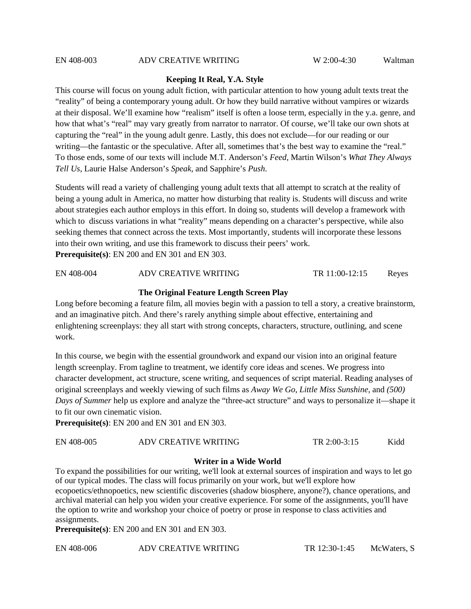#### **Keeping It Real, Y.A. Style**

This course will focus on young adult fiction, with particular attention to how young adult texts treat the "reality" of being a contemporary young adult. Or how they build narrative without vampires or wizards at their disposal. We'll examine how "realism" itself is often a loose term, especially in the y.a. genre, and how that what's "real" may vary greatly from narrator to narrator. Of course, we'll take our own shots at capturing the "real" in the young adult genre. Lastly, this does not exclude—for our reading or our writing—the fantastic or the speculative. After all, sometimes that's the best way to examine the "real." To those ends, some of our texts will include M.T. Anderson's *Feed*, Martin Wilson's *What They Always Tell Us*, Laurie Halse Anderson's *Speak*, and Sapphire's *Push*.

Students will read a variety of challenging young adult texts that all attempt to scratch at the reality of being a young adult in America, no matter how disturbing that reality is. Students will discuss and write about strategies each author employs in this effort. In doing so, students will develop a framework with which to discuss variations in what "reality" means depending on a character's perspective, while also seeking themes that connect across the texts. Most importantly, students will incorporate these lessons into their own writing, and use this framework to discuss their peers' work. **Prerequisite(s)**: EN 200 and EN 301 and EN 303.

EN 408-004 ADV CREATIVE WRITING TR 11:00-12:15 Reyes

#### **The Original Feature Length Screen Play**

Long before becoming a feature film, all movies begin with a passion to tell a story, a creative brainstorm, and an imaginative pitch. And there's rarely anything simple about effective, entertaining and enlightening screenplays: they all start with strong concepts, characters, structure, outlining, and scene work.

In this course, we begin with the essential groundwork and expand our vision into an original feature length screenplay. From tagline to treatment, we identify core ideas and scenes. We progress into character development, act structure, scene writing, and sequences of script material. Reading analyses of original screenplays and weekly viewing of such films as *Away We Go*, *Little Miss Sunshine*, and *(500) Days of Summer* help us explore and analyze the "three-act structure" and ways to personalize it—shape it to fit our own cinematic vision.

**Prerequisite(s)**: EN 200 and EN 301 and EN 303.

#### **Writer in a Wide World**

To expand the possibilities for our writing, we'll look at external sources of inspiration and ways to let go of our typical modes. The class will focus primarily on your work, but we'll explore how ecopoetics/ethnopoetics, new scientific discoveries (shadow biosphere, anyone?), chance operations, and archival material can help you widen your creative experience. For some of the assignments, you'll have the option to write and workshop your choice of poetry or prose in response to class activities and assignments.

**Prerequisite(s)**: EN 200 and EN 301 and EN 303.

EN 408-006 ADV CREATIVE WRITING TR 12:30-1:45 McWaters, S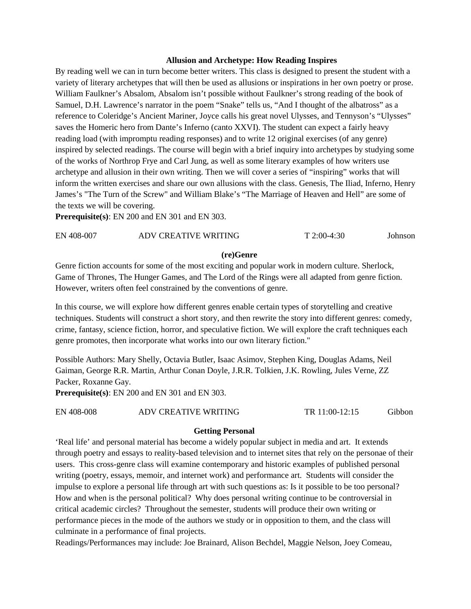#### **Allusion and Archetype: How Reading Inspires**

By reading well we can in turn become better writers. This class is designed to present the student with a variety of literary archetypes that will then be used as allusions or inspirations in her own poetry or prose. William Faulkner's Absalom, Absalom isn't possible without Faulkner's strong reading of the book of Samuel, D.H. Lawrence's narrator in the poem "Snake" tells us, "And I thought of the albatross" as a reference to Coleridge's Ancient Mariner, Joyce calls his great novel Ulysses, and Tennyson's "Ulysses" saves the Homeric hero from Dante's Inferno (canto XXVI). The student can expect a fairly heavy reading load (with impromptu reading responses) and to write 12 original exercises (of any genre) inspired by selected readings. The course will begin with a brief inquiry into archetypes by studying some of the works of Northrop Frye and Carl Jung, as well as some literary examples of how writers use archetype and allusion in their own writing. Then we will cover a series of "inspiring" works that will inform the written exercises and share our own allusions with the class. Genesis, The Iliad, Inferno, Henry James's "The Turn of the Screw" and William Blake's "The Marriage of Heaven and Hell" are some of the texts we will be covering.

**Prerequisite(s)**: EN 200 and EN 301 and EN 303.

| ADV CREATIVE WRITING<br>EN 408-007<br>$T 2:00-4:30$ | Johnson |
|-----------------------------------------------------|---------|
|-----------------------------------------------------|---------|

#### **(re)Genre**

Genre fiction accounts for some of the most exciting and popular work in modern culture. Sherlock, Game of Thrones, The Hunger Games, and The Lord of the Rings were all adapted from genre fiction. However, writers often feel constrained by the conventions of genre.

In this course, we will explore how different genres enable certain types of storytelling and creative techniques. Students will construct a short story, and then rewrite the story into different genres: comedy, crime, fantasy, science fiction, horror, and speculative fiction. We will explore the craft techniques each genre promotes, then incorporate what works into our own literary fiction."

Possible Authors: Mary Shelly, Octavia Butler, Isaac Asimov, Stephen King, Douglas Adams, Neil Gaiman, George R.R. Martin, Arthur Conan Doyle, J.R.R. Tolkien, J.K. Rowling, Jules Verne, ZZ Packer, Roxanne Gay.

**Prerequisite(s)**: EN 200 and EN 301 and EN 303.

EN 408-008 ADV CREATIVE WRITING TR 11:00-12:15 Gibbon

#### **Getting Personal**

'Real life' and personal material has become a widely popular subject in media and art. It extends through poetry and essays to reality-based television and to internet sites that rely on the personae of their users. This cross-genre class will examine contemporary and historic examples of published personal writing (poetry, essays, memoir, and internet work) and performance art. Students will consider the impulse to explore a personal life through art with such questions as: Is it possible to be too personal? How and when is the personal political? Why does personal writing continue to be controversial in critical academic circles? Throughout the semester, students will produce their own writing or performance pieces in the mode of the authors we study or in opposition to them, and the class will culminate in a performance of final projects.

Readings/Performances may include: Joe Brainard, Alison Bechdel, Maggie Nelson, Joey Comeau,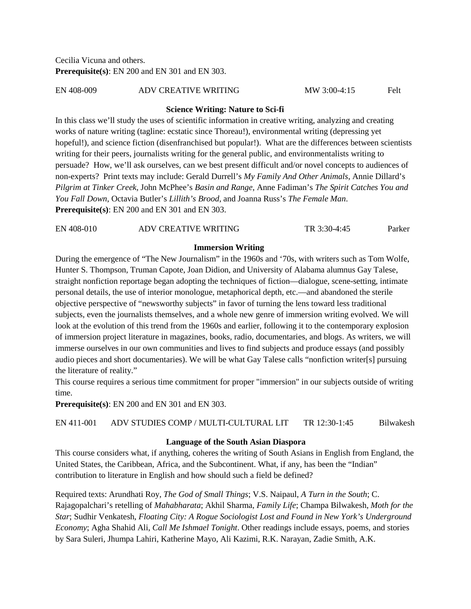Cecilia Vicuna and others. **Prerequisite(s)**: EN 200 and EN 301 and EN 303.

EN 408-009 ADV CREATIVE WRITING MW 3:00-4:15 Felt

#### **Science Writing: Nature to Sci-fi**

In this class we'll study the uses of scientific information in creative writing, analyzing and creating works of nature writing (tagline: ecstatic since Thoreau!), environmental writing (depressing yet hopeful!), and science fiction (disenfranchised but popular!). What are the differences between scientists writing for their peers, journalists writing for the general public, and environmentalists writing to persuade? How, we'll ask ourselves, can we best present difficult and/or novel concepts to audiences of non-experts? Print texts may include: Gerald Durrell's *My Family And Other Animals*, Annie Dillard's *Pilgrim at Tinker Creek*, John McPhee's *Basin and Range*, Anne Fadiman's *The Spirit Catches You and You Fall Down*, Octavia Butler's *Lillith's Brood*, and Joanna Russ's *The Female Man*. **Prerequisite(s)**: EN 200 and EN 301 and EN 303.

| EN 408-010 | ADV CREATIVE WRITING | TR 3:30-4:45 | Parker |
|------------|----------------------|--------------|--------|
|            |                      |              |        |

#### **Immersion Writing**

During the emergence of "The New Journalism" in the 1960s and '70s, with writers such as Tom Wolfe, Hunter S. Thompson, Truman Capote, Joan Didion, and University of Alabama alumnus Gay Talese, straight nonfiction reportage began adopting the techniques of fiction––dialogue, scene-setting, intimate personal details, the use of interior monologue, metaphorical depth, etc.––and abandoned the sterile objective perspective of "newsworthy subjects" in favor of turning the lens toward less traditional subjects, even the journalists themselves, and a whole new genre of immersion writing evolved. We will look at the evolution of this trend from the 1960s and earlier, following it to the contemporary explosion of immersion project literature in magazines, books, radio, documentaries, and blogs. As writers, we will immerse ourselves in our own communities and lives to find subjects and produce essays (and possibly audio pieces and short documentaries). We will be what Gay Talese calls "nonfiction writer[s] pursuing the literature of reality."

This course requires a serious time commitment for proper "immersion" in our subjects outside of writing time.

**Prerequisite(s)**: EN 200 and EN 301 and EN 303.

EN 411-001 ADV STUDIES COMP / MULTI-CULTURAL LIT TR 12:30-1:45 Bilwakesh

#### **Language of the South Asian Diaspora**

This course considers what, if anything, coheres the writing of South Asians in English from England, the United States, the Caribbean, Africa, and the Subcontinent. What, if any, has been the "Indian" contribution to literature in English and how should such a field be defined?

Required texts: Arundhati Roy, *The God of Small Things*; V.S. Naipaul, *A Turn in the South*; C. Rajagopalchari's retelling of *Mahabharata*; Akhil Sharma, *Family Life*; Champa Bilwakesh, *Moth for the Star*; Sudhir Venkatesh, *Floating City: A Rogue Sociologist Lost and Found in New York's Underground Economy*; Agha Shahid Ali, *Call Me Ishmael Tonight*. Other readings include essays, poems, and stories by Sara Suleri, Jhumpa Lahiri, Katherine Mayo, Ali Kazimi, R.K. Narayan, Zadie Smith, A.K.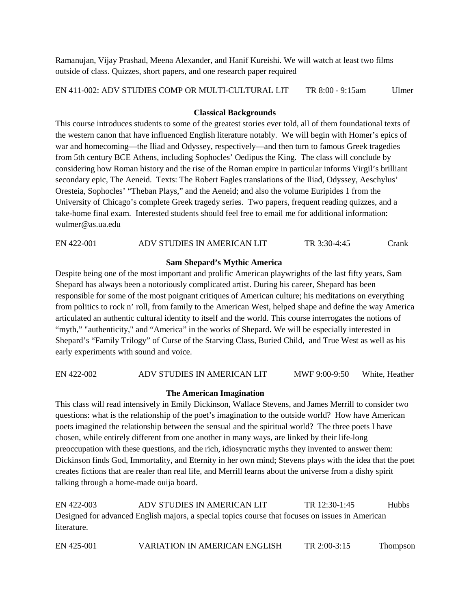Ramanujan, Vijay Prashad, Meena Alexander, and Hanif Kureishi. We will watch at least two films outside of class. Quizzes, short papers, and one research paper required

EN 411-002: ADV STUDIES COMP OR MULTI-CULTURAL LIT TR 8:00 - 9:15am Ulmer

#### **Classical Backgrounds**

This course introduces students to some of the greatest stories ever told, all of them foundational texts of the western canon that have influenced English literature notably. We will begin with Homer's epics of war and homecoming—the Iliad and Odyssey, respectively—and then turn to famous Greek tragedies from 5th century BCE Athens, including Sophocles' Oedipus the King. The class will conclude by considering how Roman history and the rise of the Roman empire in particular informs Virgil's brilliant secondary epic, The Aeneid. Texts: The Robert Fagles translations of the Iliad, Odyssey, Aeschylus' Oresteia, Sophocles' "Theban Plays," and the Aeneid; and also the volume Euripides 1 from the University of Chicago's complete Greek tragedy series. Two papers, frequent reading quizzes, and a take-home final exam. Interested students should feel free to email me for additional information: wulmer@as.ua.edu

EN 422-001 ADV STUDIES IN AMERICAN LIT TR 3:30-4:45 Crank

### **Sam Shepard's Mythic America**

Despite being one of the most important and prolific American playwrights of the last fifty years, Sam Shepard has always been a notoriously complicated artist. During his career, Shepard has been responsible for some of the most poignant critiques of American culture; his meditations on everything from politics to rock n' roll, from family to the American West, helped shape and define the way America articulated an authentic cultural identity to itself and the world. This course interrogates the notions of "myth," "authenticity," and "America" in the works of Shepard. We will be especially interested in Shepard's "Family Trilogy" of Curse of the Starving Class, Buried Child, and True West as well as his early experiments with sound and voice.

EN 422-002 ADV STUDIES IN AMERICAN LIT MWF 9:00-9:50 White, Heather

#### **The American Imagination**

This class will read intensively in Emily Dickinson, Wallace Stevens, and James Merrill to consider two questions: what is the relationship of the poet's imagination to the outside world? How have American poets imagined the relationship between the sensual and the spiritual world? The three poets I have chosen, while entirely different from one another in many ways, are linked by their life-long preoccupation with these questions, and the rich, idiosyncratic myths they invented to answer them: Dickinson finds God, Immortality, and Eternity in her own mind; Stevens plays with the idea that the poet creates fictions that are realer than real life, and Merrill learns about the universe from a dishy spirit talking through a home-made ouija board.

EN 422-003 ADV STUDIES IN AMERICAN LIT TR 12:30-1:45 Hubbs Designed for advanced English majors, a special topics course that focuses on issues in American literature.

EN 425-001 VARIATION IN AMERICAN ENGLISH TR 2:00-3:15 Thompson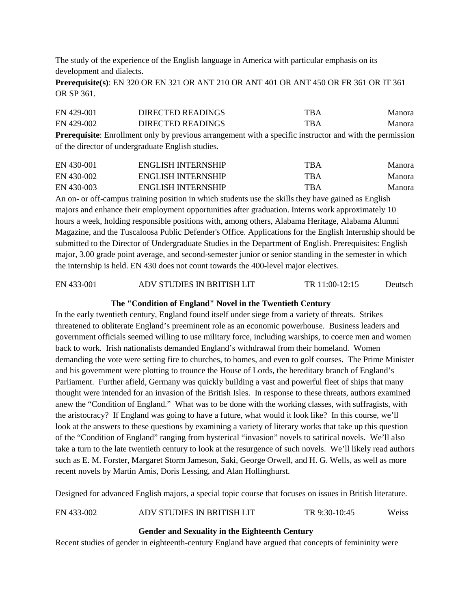The study of the experience of the English language in America with particular emphasis on its development and dialects.

**Prerequisite(s)**: EN 320 OR EN 321 OR ANT 210 OR ANT 401 OR ANT 450 OR FR 361 OR IT 361 OR SP 361.

| EN 429-001 | DIRECTED READINGS | TBA        | Manora |
|------------|-------------------|------------|--------|
| EN 429-002 | DIRECTED READINGS | <b>TBA</b> | Manora |

**Prerequisite**: Enrollment only by previous arrangement with a specific instructor and with the permission of the director of undergraduate English studies.

| EN 430-001 | <b>ENGLISH INTERNSHIP</b> | TBA        | Manora |
|------------|---------------------------|------------|--------|
| EN 430-002 | <b>ENGLISH INTERNSHIP</b> | <b>TBA</b> | Manora |
| EN 430-003 | <b>ENGLISH INTERNSHIP</b> | TBA        | Manora |

An on- or off-campus training position in which students use the skills they have gained as English majors and enhance their employment opportunities after graduation. Interns work approximately 10 hours a week, holding responsible positions with, among others, Alabama Heritage, Alabama Alumni Magazine, and the Tuscaloosa Public Defender's Office. Applications for the English Internship should be submitted to the Director of Undergraduate Studies in the Department of English. Prerequisites: English major, 3.00 grade point average, and second-semester junior or senior standing in the semester in which the internship is held. EN 430 does not count towards the 400-level major electives.

EN 433-001 ADV STUDIES IN BRITISH LIT TR 11:00-12:15 Deutsch

#### **The "Condition of England" Novel in the Twentieth Century**

In the early twentieth century, England found itself under siege from a variety of threats. Strikes threatened to obliterate England's preeminent role as an economic powerhouse. Business leaders and government officials seemed willing to use military force, including warships, to coerce men and women back to work. Irish nationalists demanded England's withdrawal from their homeland. Women demanding the vote were setting fire to churches, to homes, and even to golf courses. The Prime Minister and his government were plotting to trounce the House of Lords, the hereditary branch of England's Parliament. Further afield, Germany was quickly building a vast and powerful fleet of ships that many thought were intended for an invasion of the British Isles. In response to these threats, authors examined anew the "Condition of England." What was to be done with the working classes, with suffragists, with the aristocracy? If England was going to have a future, what would it look like? In this course, we'll look at the answers to these questions by examining a variety of literary works that take up this question of the "Condition of England" ranging from hysterical "invasion" novels to satirical novels. We'll also take a turn to the late twentieth century to look at the resurgence of such novels. We'll likely read authors such as E. M. Forster, Margaret Storm Jameson, Saki, George Orwell, and H. G. Wells, as well as more recent novels by Martin Amis, Doris Lessing, and Alan Hollinghurst.

Designed for advanced English majors, a special topic course that focuses on issues in British literature.

| EN 433-002 | ADV STUDIES IN BRITISH LIT | TR 9:30-10:45 | Weiss |
|------------|----------------------------|---------------|-------|
|            |                            |               |       |

# **Gender and Sexuality in the Eighteenth Century**

Recent studies of gender in eighteenth-century England have argued that concepts of femininity were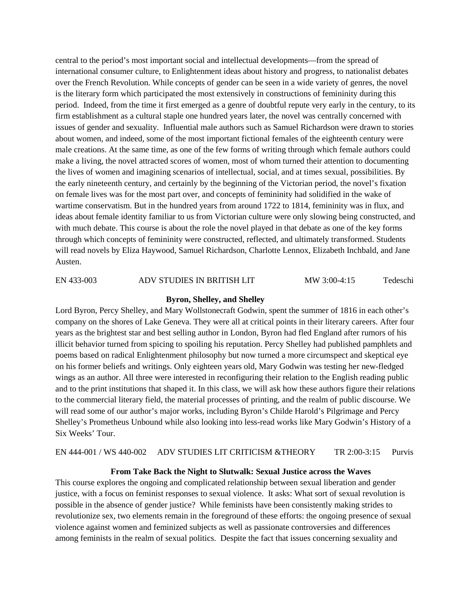central to the period's most important social and intellectual developments—from the spread of international consumer culture, to Enlightenment ideas about history and progress, to nationalist debates over the French Revolution. While concepts of gender can be seen in a wide variety of genres, the novel is the literary form which participated the most extensively in constructions of femininity during this period. Indeed, from the time it first emerged as a genre of doubtful repute very early in the century, to its firm establishment as a cultural staple one hundred years later, the novel was centrally concerned with issues of gender and sexuality. Influential male authors such as Samuel Richardson were drawn to stories about women, and indeed, some of the most important fictional females of the eighteenth century were male creations. At the same time, as one of the few forms of writing through which female authors could make a living, the novel attracted scores of women, most of whom turned their attention to documenting the lives of women and imagining scenarios of intellectual, social, and at times sexual, possibilities. By the early nineteenth century, and certainly by the beginning of the Victorian period, the novel's fixation on female lives was for the most part over, and concepts of femininity had solidified in the wake of wartime conservatism. But in the hundred years from around 1722 to 1814, femininity was in flux, and ideas about female identity familiar to us from Victorian culture were only slowing being constructed, and with much debate. This course is about the role the novel played in that debate as one of the key forms through which concepts of femininity were constructed, reflected, and ultimately transformed. Students will read novels by Eliza Haywood, Samuel Richardson, Charlotte Lennox, Elizabeth Inchbald, and Jane Austen.

#### EN 433-003 ADV STUDIES IN BRITISH LIT MW 3:00-4:15 Tedeschi

#### **Byron, Shelley, and Shelley**

Lord Byron, Percy Shelley, and Mary Wollstonecraft Godwin, spent the summer of 1816 in each other's company on the shores of Lake Geneva. They were all at critical points in their literary careers. After four years as the brightest star and best selling author in London, Byron had fled England after rumors of his illicit behavior turned from spicing to spoiling his reputation. Percy Shelley had published pamphlets and poems based on radical Enlightenment philosophy but now turned a more circumspect and skeptical eye on his former beliefs and writings. Only eighteen years old, Mary Godwin was testing her new-fledged wings as an author. All three were interested in reconfiguring their relation to the English reading public and to the print institutions that shaped it. In this class, we will ask how these authors figure their relations to the commercial literary field, the material processes of printing, and the realm of public discourse. We will read some of our author's major works, including Byron's Childe Harold's Pilgrimage and Percy Shelley's Prometheus Unbound while also looking into less-read works like Mary Godwin's History of a Six Weeks' Tour.

EN 444-001 / WS 440-002 ADV STUDIES LIT CRITICISM &THEORY TR 2:00-3:15 Purvis

#### **From Take Back the Night to Slutwalk: Sexual Justice across the Waves**

This course explores the ongoing and complicated relationship between sexual liberation and gender justice, with a focus on feminist responses to sexual violence. It asks: What sort of sexual revolution is possible in the absence of gender justice? While feminists have been consistently making strides to revolutionize sex, two elements remain in the foreground of these efforts: the ongoing presence of sexual violence against women and feminized subjects as well as passionate controversies and differences among feminists in the realm of sexual politics. Despite the fact that issues concerning sexuality and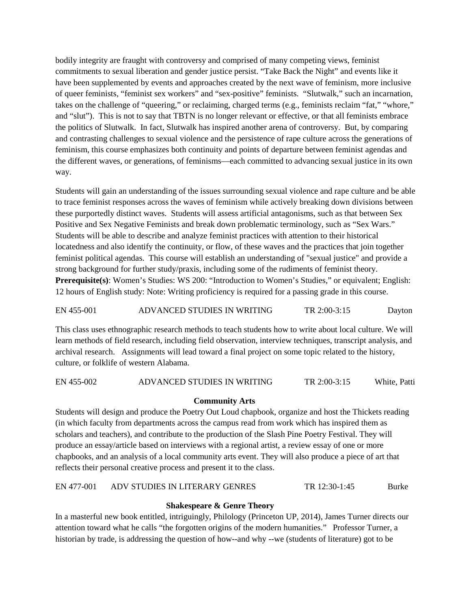bodily integrity are fraught with controversy and comprised of many competing views, feminist commitments to sexual liberation and gender justice persist. "Take Back the Night" and events like it have been supplemented by events and approaches created by the next wave of feminism, more inclusive of queer feminists, "feminist sex workers" and "sex-positive" feminists. "Slutwalk," such an incarnation, takes on the challenge of "queering," or reclaiming, charged terms (e.g., feminists reclaim "fat," "whore," and "slut"). This is not to say that TBTN is no longer relevant or effective, or that all feminists embrace the politics of Slutwalk. In fact, Slutwalk has inspired another arena of controversy. But, by comparing and contrasting challenges to sexual violence and the persistence of rape culture across the generations of feminism, this course emphasizes both continuity and points of departure between feminist agendas and the different waves, or generations, of feminisms—each committed to advancing sexual justice in its own way.

Students will gain an understanding of the issues surrounding sexual violence and rape culture and be able to trace feminist responses across the waves of feminism while actively breaking down divisions between these purportedly distinct waves. Students will assess artificial antagonisms, such as that between Sex Positive and Sex Negative Feminists and break down problematic terminology, such as "Sex Wars." Students will be able to describe and analyze feminist practices with attention to their historical locatedness and also identify the continuity, or flow, of these waves and the practices that join together feminist political agendas. This course will establish an understanding of "sexual justice" and provide a strong background for further study/praxis, including some of the rudiments of feminist theory. **Prerequisite(s)**: Women's Studies: WS 200: "Introduction to Women's Studies," or equivalent; English: 12 hours of English study: Note: Writing proficiency is required for a passing grade in this course.

# EN 455-001 ADVANCED STUDIES IN WRITING TR 2:00-3:15 Dayton

This class uses ethnographic research methods to teach students how to write about local culture. We will learn methods of field research, including field observation, interview techniques, transcript analysis, and archival research. Assignments will lead toward a final project on some topic related to the history, culture, or folklife of western Alabama.

#### EN 455-002 ADVANCED STUDIES IN WRITING TR 2:00-3:15 White, Patti

#### **Community Arts**

Students will design and produce the Poetry Out Loud chapbook, organize and host the Thickets reading (in which faculty from departments across the campus read from work which has inspired them as scholars and teachers), and contribute to the production of the Slash Pine Poetry Festival. They will produce an essay/article based on interviews with a regional artist, a review essay of one or more chapbooks, and an analysis of a local community arts event. They will also produce a piece of art that reflects their personal creative process and present it to the class.

EN 477-001 ADV STUDIES IN LITERARY GENRES TR 12:30-1:45 Burke

#### **Shakespeare & Genre Theory**

In a masterful new book entitled, intriguingly, Philology (Princeton UP, 2014), James Turner directs our attention toward what he calls "the forgotten origins of the modern humanities." Professor Turner, a historian by trade, is addressing the question of how--and why --we (students of literature) got to be